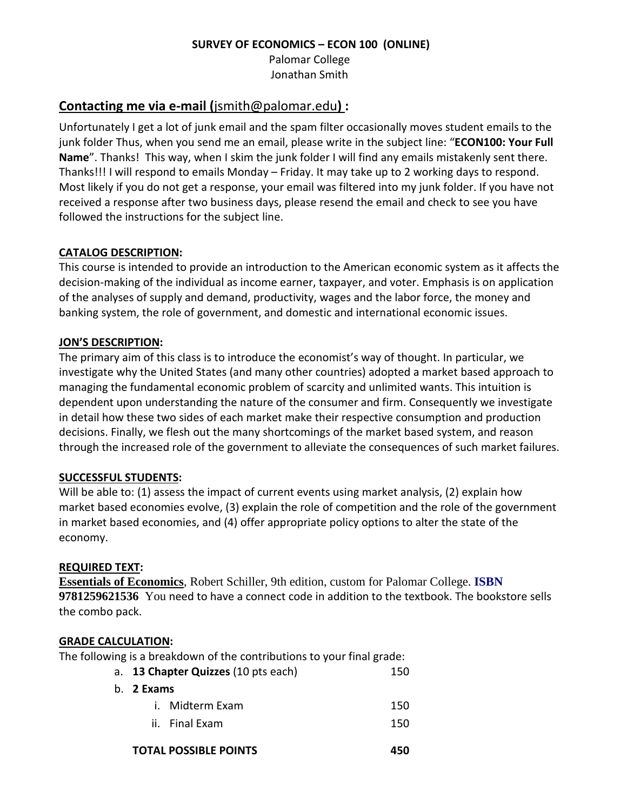#### **SURVEY OF ECONOMICS – ECON 100 (ONLINE)**

Palomar College Jonathan Smith

## **Contacting me via e-mail (**jsmith@palomar.edu**) :**

Unfortunately I get a lot of junk email and the spam filter occasionally moves student emails to the junk folder Thus, when you send me an email, please write in the subject line: "**ECON100: Your Full Name**". Thanks! This way, when I skim the junk folder I will find any emails mistakenly sent there. Thanks!!! I will respond to emails Monday – Friday. It may take up to 2 working days to respond. Most likely if you do not get a response, your email was filtered into my junk folder. If you have not received a response after two business days, please resend the email and check to see you have followed the instructions for the subject line.

## **CATALOG DESCRIPTION:**

This course is intended to provide an introduction to the American economic system as it affects the decision-making of the individual as income earner, taxpayer, and voter. Emphasis is on application of the analyses of supply and demand, productivity, wages and the labor force, the money and banking system, the role of government, and domestic and international economic issues.

## **JON'S DESCRIPTION:**

The primary aim of this class is to introduce the economist's way of thought. In particular, we investigate why the United States (and many other countries) adopted a market based approach to managing the fundamental economic problem of scarcity and unlimited wants. This intuition is dependent upon understanding the nature of the consumer and firm. Consequently we investigate in detail how these two sides of each market make their respective consumption and production decisions. Finally, we flesh out the many shortcomings of the market based system, and reason through the increased role of the government to alleviate the consequences of such market failures.

## **SUCCESSFUL STUDENTS:**

Will be able to: (1) assess the impact of current events using market analysis, (2) explain how market based economies evolve, (3) explain the role of competition and the role of the government in market based economies, and (4) offer appropriate policy options to alter the state of the economy.

## **REQUIRED TEXT:**

**Essentials of Economics**, Robert Schiller, 9th edition, custom for Palomar College. **ISBN 9781259621536** You need to have a connect code in addition to the textbook. The bookstore sells the combo pack.

## **GRADE CALCULATION:**

The following is a breakdown of the contributions to your final grade:

| a. 13 Chapter Quizzes (10 pts each)<br>150 |                              |     |  |  |
|--------------------------------------------|------------------------------|-----|--|--|
| b. 2 Exams                                 |                              |     |  |  |
|                                            | i. Midterm Exam              | 150 |  |  |
|                                            | ii. Final Exam               | 150 |  |  |
|                                            | <b>TOTAL POSSIBLE POINTS</b> |     |  |  |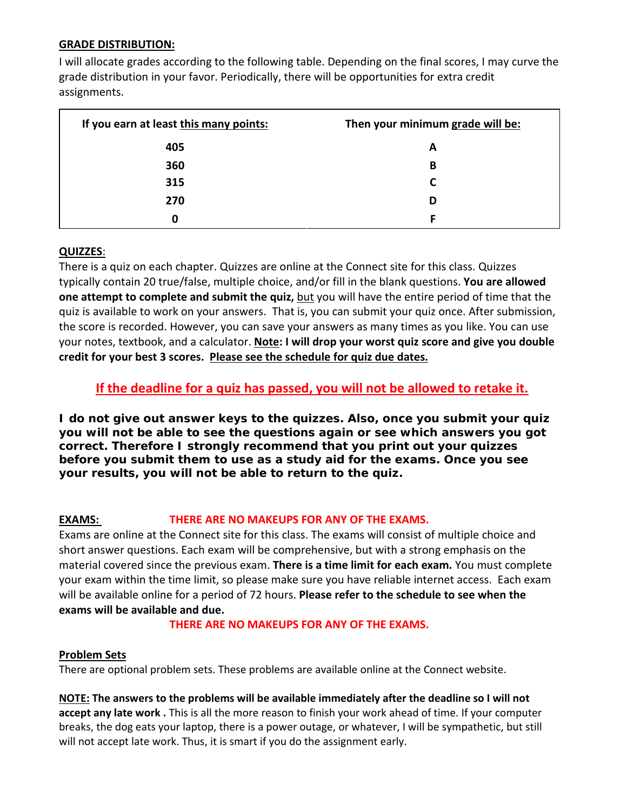#### **GRADE DISTRIBUTION:**

I will allocate grades according to the following table. Depending on the final scores, I may curve the grade distribution in your favor. Periodically, there will be opportunities for extra credit assignments.

| If you earn at least this many points: | Then your minimum grade will be: |
|----------------------------------------|----------------------------------|
| 405                                    | A                                |
| 360                                    | В                                |
| 315                                    |                                  |
| 270                                    | D                                |
|                                        |                                  |

#### **QUIZZES**:

There is a quiz on each chapter. Quizzes are online at the Connect site for this class. Quizzes typically contain 20 true/false, multiple choice, and/or fill in the blank questions. **You are allowed one attempt to complete and submit the quiz, but you will have the entire period of time that the** quiz is available to work on your answers. That is, you can submit your quiz once. After submission, the score is recorded. However, you can save your answers as many times as you like. You can use your notes, textbook, and a calculator. **Note: I will drop your worst quiz score and give you double credit for your best 3 scores. Please see the schedule for quiz due dates.** 

## **If the deadline for a quiz has passed, you will not be allowed to retake it.**

**I do not give out answer keys to the quizzes. Also, once you submit your quiz you will not be able to see the questions again or see which answers you got correct. Therefore I strongly recommend that you print out your quizzes before you submit them to use as a study aid for the exams. Once you see your results, you will not be able to return to the quiz.**

#### **EXAMS: THERE ARE NO MAKEUPS FOR ANY OF THE EXAMS.**

Exams are online at the Connect site for this class. The exams will consist of multiple choice and short answer questions. Each exam will be comprehensive, but with a strong emphasis on the material covered since the previous exam. **There is a time limit for each exam.** You must complete your exam within the time limit, so please make sure you have reliable internet access.Each exam will be available online for a period of 72 hours. **Please refer to the schedule to see when the exams will be available and due.**

#### **THERE ARE NO MAKEUPS FOR ANY OF THE EXAMS.**

#### **Problem Sets**

There are optional problem sets. These problems are available online at the Connect website.

**NOTE: The answers to the problems will be available immediately after the deadline so I will not accept any late work .** This is all the more reason to finish your work ahead of time. If your computer breaks, the dog eats your laptop, there is a power outage, or whatever, I will be sympathetic, but still will not accept late work. Thus, it is smart if you do the assignment early.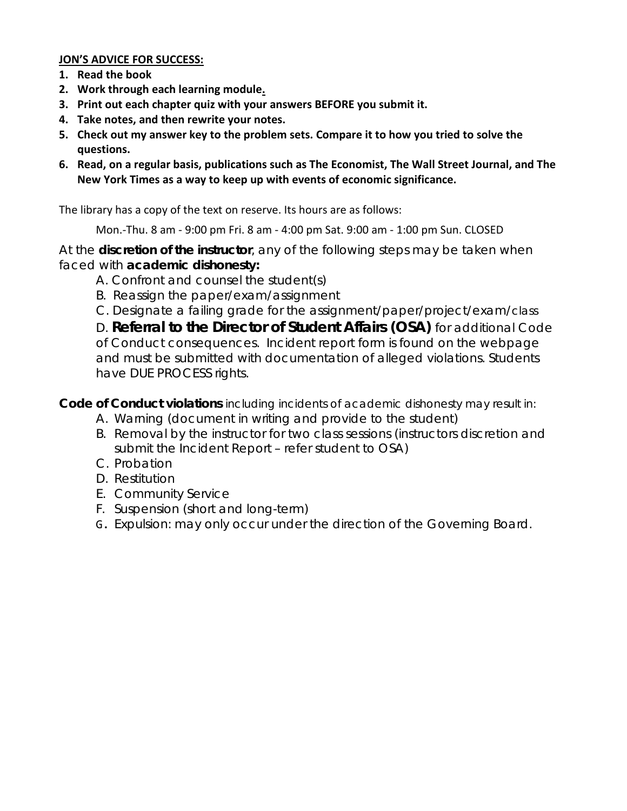## **JON'S ADVICE FOR SUCCESS:**

- **1. Read the book**
- **2. Work through each learning module.**
- **3. Print out each chapter quiz with your answers BEFORE you submit it.**
- **4. Take notes, and then rewrite your notes.**
- **5. Check out my answer key to the problem sets. Compare it to how you tried to solve the questions.**
- **6. Read, on a regular basis, publications such as The Economist, The Wall Street Journal, and The New York Times as a way to keep up with events of economic significance.**

The library has a copy of the text on reserve. Its hours are as follows:

Mon.-Thu. 8 am - 9:00 pm Fri. 8 am - 4:00 pm Sat. 9:00 am - 1:00 pm Sun. CLOSED

At the **discretion of the instructor**, any of the following steps may be taken when faced with **academic dishonesty:**

- A. Confront and counsel the student(s)
- B. Reassign the paper/exam/assignment
- C. Designate a failing grade for the assignment/paper/project/exam/*class*

D. **Referral to the Director of Student Affairs (OSA)** for additional Code of Conduct consequences. Incident report form is found on the webpage and must be submitted with documentation of alleged violations. Students have DUE PROCESS rights.

**Code of Conduct violations** including incidents of academic dishonesty may result in:

- A. Warning (document in writing and provide to the student)
- B. Removal by the instructor for two class sessions (instructors discretion and submit the Incident Report – refer student to OSA)
- C. Probation
- D. Restitution
- E. Community Service
- F. Suspension (short and long-term)
- G. Expulsion: may only occur under the direction of the Governing Board.